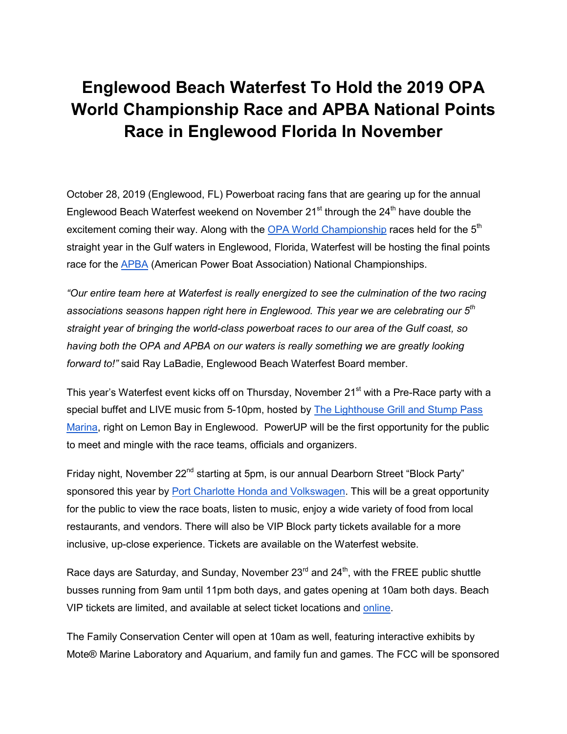## **Englewood Beach Waterfest To Hold the 2019 OPA World Championship Race and APBA National Points Race in Englewood Florida In November**

October 28, 2019 (Englewood, FL) Powerboat racing fans that are gearing up for the annual Englewood Beach Waterfest weekend on November  $21^{st}$  through the  $24^{th}$  have double the [e](http://www.oparacing.org/)xcitement coming their way. Along with the [OPA World Championship](http://www.oparacing.org/) races held for the 5<sup>th</sup> straight year in the Gulf waters in Englewood, Florida, Waterfest will be hosting the final points rac[e](https://www.apba.org/) for the **[APBA](https://www.apba.org/)** (American Power Boat Association) National Championships.

*"Our entire team here at Waterfest is really energized to see the culmination of the two racing associations seasons happen right here in Englewood. This year we are celebrating our 5th straight year of bringing the world-class powerboat races to our area of the Gulf coast, so having both the OPA and APBA on our waters is really something we are greatly looking forward to!"* said Ray LaBadie, Englewood Beach Waterfest Board member.

This year's Waterfest event kicks off on Thursday, November 21<sup>st</sup> with a Pre-Race party with a special buffet and LIVE music from 5-10pm, hosted b[y](https://thelighthousegrill.net/powerup-pre-race-party/) The Lighthouse Grill and Stump Pass [Marina,](https://thelighthousegrill.net/powerup-pre-race-party/) right on Lemon Bay in Englewood. PowerUP will be the first opportunity for the public to meet and mingle with the race teams, officials and organizers.

Friday night, November 22<sup>nd</sup> starting at 5pm, is our annual Dearborn Street "Block Party" sponsored this [y](https://www.portcharlottehonda.com/)ear by [Port Charlotte Honda and Volkswagen.](https://www.portcharlottehonda.com/) This will be a great opportunity for the public to view the race boats, listen to music, enjoy a wide variety of food from local restaurants, and vendors. There will also be VIP Block party tickets available for a more inclusive, up-close experience. Tickets are available on the Waterfest website.

Race days are Saturday, and Sunday, November  $23<sup>rd</sup>$  and  $24<sup>th</sup>$ , with the FREE public shuttle busses running from 9am until 11pm both days, and gates opening at 10am both days. Beach VIP tickets are limited, and available at select ticket locations and [online.](https://englewoodbeachwaterfest.com/shop/waterfest-ticket/)

The Family Conservation Center will open at 10am as well, featuring interactive exhibits by Mote® Marine Laboratory and Aquarium, and family fun and games. The FCC will be sponsored